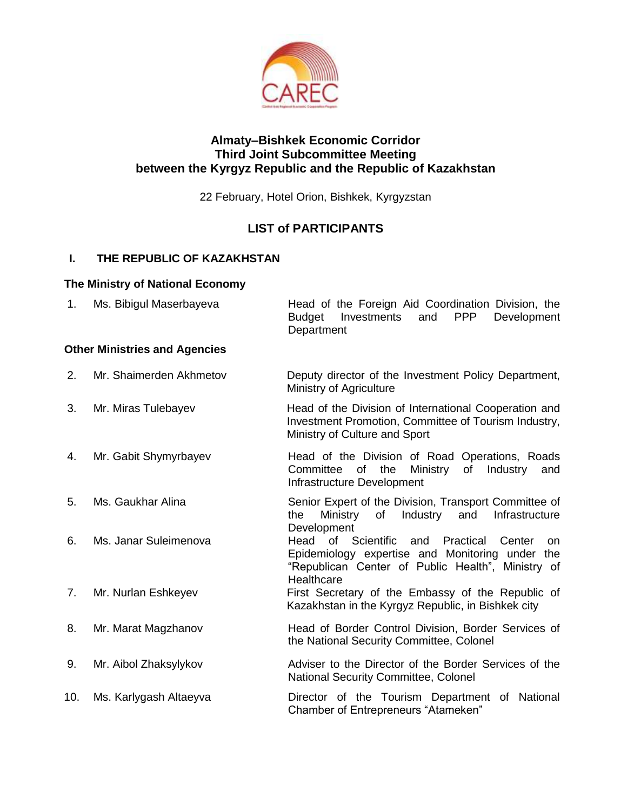

#### **Almaty–Bishkek Economic Corridor Third Joint Subcommittee Meeting between the Kyrgyz Republic and the Republic of Kazakhstan**

22 February, Hotel Orion, Bishkek, Kyrgyzstan

# **LIST of PARTICIPANTS**

### **I. THE REPUBLIC OF KAZAKHSTAN**

#### **The Ministry of National Economy**

| 1.  | Ms. Bibigul Maserbayeva              | Head of the Foreign Aid Coordination Division, the<br>PPP<br><b>Budget</b><br>Investments<br>and<br>Development<br>Department                                                          |
|-----|--------------------------------------|----------------------------------------------------------------------------------------------------------------------------------------------------------------------------------------|
|     | <b>Other Ministries and Agencies</b> |                                                                                                                                                                                        |
| 2.  | Mr. Shaimerden Akhmetov              | Deputy director of the Investment Policy Department,<br><b>Ministry of Agriculture</b>                                                                                                 |
| 3.  | Mr. Miras Tulebayev                  | Head of the Division of International Cooperation and<br>Investment Promotion, Committee of Tourism Industry,<br>Ministry of Culture and Sport                                         |
| 4.  | Mr. Gabit Shymyrbayev                | Head of the Division of Road Operations, Roads<br>of<br>the<br>Committee<br>Ministry<br>Industry<br>of<br>and<br>Infrastructure Development                                            |
| 5.  | Ms. Gaukhar Alina                    | Senior Expert of the Division, Transport Committee of<br>Industry<br>and<br>Infrastructure<br>the<br>Ministry<br>of<br>Development                                                     |
| 6.  | Ms. Janar Suleimenova                | Head of<br>Scientific<br>Practical<br>and<br>Center<br><b>on</b><br>Epidemiology expertise and Monitoring under the<br>"Republican Center of Public Health", Ministry of<br>Healthcare |
| 7.  | Mr. Nurlan Eshkeyev                  | First Secretary of the Embassy of the Republic of<br>Kazakhstan in the Kyrgyz Republic, in Bishkek city                                                                                |
| 8.  | Mr. Marat Magzhanov                  | Head of Border Control Division, Border Services of<br>the National Security Committee, Colonel                                                                                        |
| 9.  | Mr. Aibol Zhaksylykov                | Adviser to the Director of the Border Services of the<br>National Security Committee, Colonel                                                                                          |
| 10. | Ms. Karlygash Altaeyva               | Director of the Tourism Department of National<br>Chamber of Entrepreneurs "Atameken"                                                                                                  |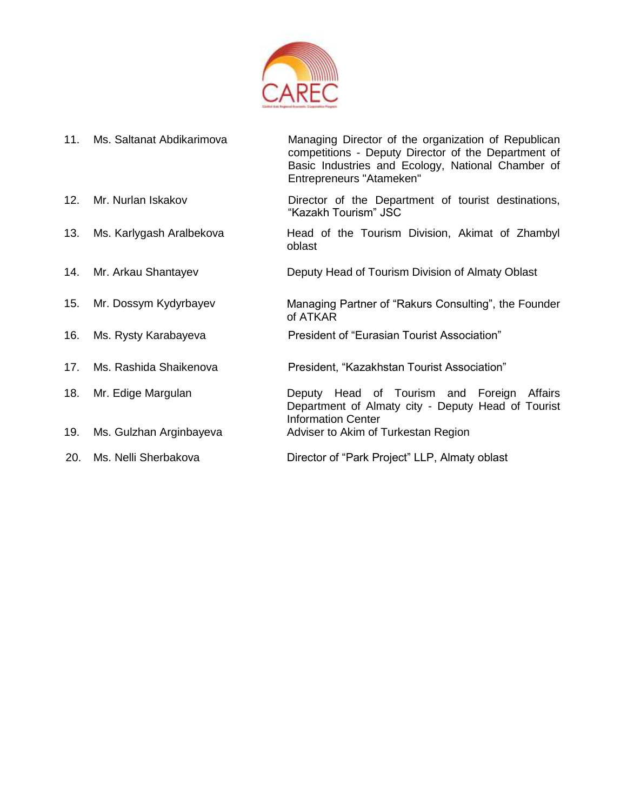

| 11. | Ms. Saltanat Abdikarimova | Managing Director of the organization of Republican<br>competitions - Deputy Director of the Department of<br>Basic Industries and Ecology, National Chamber of<br>Entrepreneurs "Atameken" |
|-----|---------------------------|---------------------------------------------------------------------------------------------------------------------------------------------------------------------------------------------|
| 12. | Mr. Nurlan Iskakov        | Director of the Department of tourist destinations,<br>"Kazakh Tourism" JSC                                                                                                                 |
| 13. | Ms. Karlygash Aralbekova  | Head of the Tourism Division, Akimat of Zhambyl<br>oblast                                                                                                                                   |
| 14. | Mr. Arkau Shantayev       | Deputy Head of Tourism Division of Almaty Oblast                                                                                                                                            |
| 15. | Mr. Dossym Kydyrbayev     | Managing Partner of "Rakurs Consulting", the Founder<br>of ATKAR                                                                                                                            |
| 16. | Ms. Rysty Karabayeva      | President of "Eurasian Tourist Association"                                                                                                                                                 |
| 17. | Ms. Rashida Shaikenova    | President, "Kazakhstan Tourist Association"                                                                                                                                                 |
| 18. | Mr. Edige Margulan        | Deputy Head of Tourism and Foreign<br>Affairs<br>Department of Almaty city - Deputy Head of Tourist<br><b>Information Center</b>                                                            |
| 19. | Ms. Gulzhan Arginbayeva   | Adviser to Akim of Turkestan Region                                                                                                                                                         |
| 20. | Ms. Nelli Sherbakova      | Director of "Park Project" LLP, Almaty oblast                                                                                                                                               |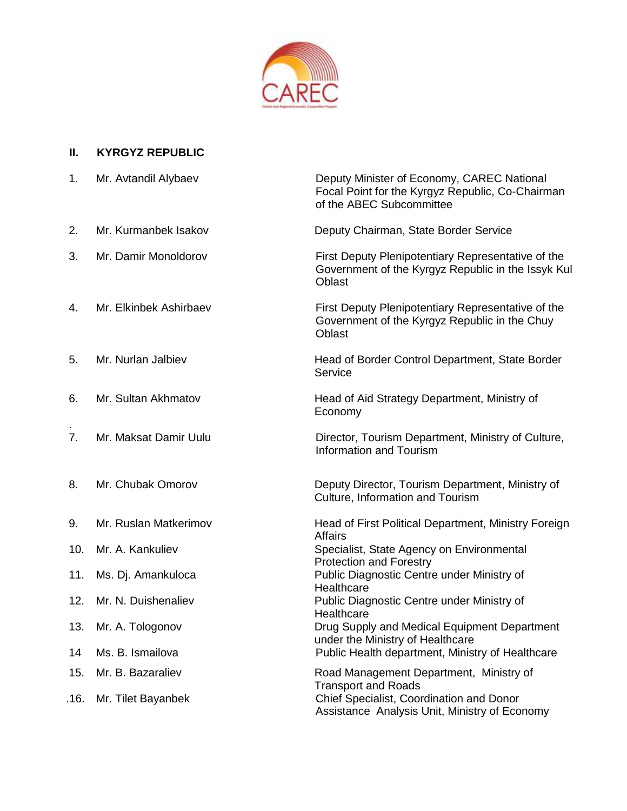

#### **II. KYRGYZ REPUBLIC**

| 1.             | Mr. Avtandil Alybaev   | Deputy Minister of Economy, CAREC National<br>Focal Point for the Kyrgyz Republic, Co-Chairman<br>of the ABEC Subcommittee |
|----------------|------------------------|----------------------------------------------------------------------------------------------------------------------------|
| 2.             | Mr. Kurmanbek Isakov   | Deputy Chairman, State Border Service                                                                                      |
| 3.             | Mr. Damir Monoldorov   | First Deputy Plenipotentiary Representative of the<br>Government of the Kyrgyz Republic in the Issyk Kul<br>Oblast         |
| 4.             | Mr. Elkinbek Ashirbaev | First Deputy Plenipotentiary Representative of the<br>Government of the Kyrgyz Republic in the Chuy<br><b>Oblast</b>       |
| 5.             | Mr. Nurlan Jalbiev     | Head of Border Control Department, State Border<br>Service                                                                 |
| 6.             | Mr. Sultan Akhmatov    | Head of Aid Strategy Department, Ministry of<br>Economy                                                                    |
| 7 <sub>1</sub> | Mr. Maksat Damir Uulu  | Director, Tourism Department, Ministry of Culture,<br><b>Information and Tourism</b>                                       |
| 8.             | Mr. Chubak Omorov      | Deputy Director, Tourism Department, Ministry of<br>Culture, Information and Tourism                                       |
| 9.             | Mr. Ruslan Matkerimov  | Head of First Political Department, Ministry Foreign<br><b>Affairs</b>                                                     |
| 10.            | Mr. A. Kankuliev       | Specialist, State Agency on Environmental<br><b>Protection and Forestry</b>                                                |
| 11.            | Ms. Dj. Amankuloca     | Public Diagnostic Centre under Ministry of<br>Healthcare                                                                   |
| 12.            | Mr. N. Duishenaliev    | Public Diagnostic Centre under Ministry of<br>Healthcare                                                                   |
| 13.            | Mr. A. Tologonov       | Drug Supply and Medical Equipment Department<br>under the Ministry of Healthcare                                           |
| 14             | Ms. B. Ismailova       | Public Health department, Ministry of Healthcare                                                                           |
| 15.            | Mr. B. Bazaraliev      | Road Management Department, Ministry of<br><b>Transport and Roads</b>                                                      |
| .16.           | Mr. Tilet Bayanbek     | Chief Specialist, Coordination and Donor<br>Assistance Analysis Unit, Ministry of Economy                                  |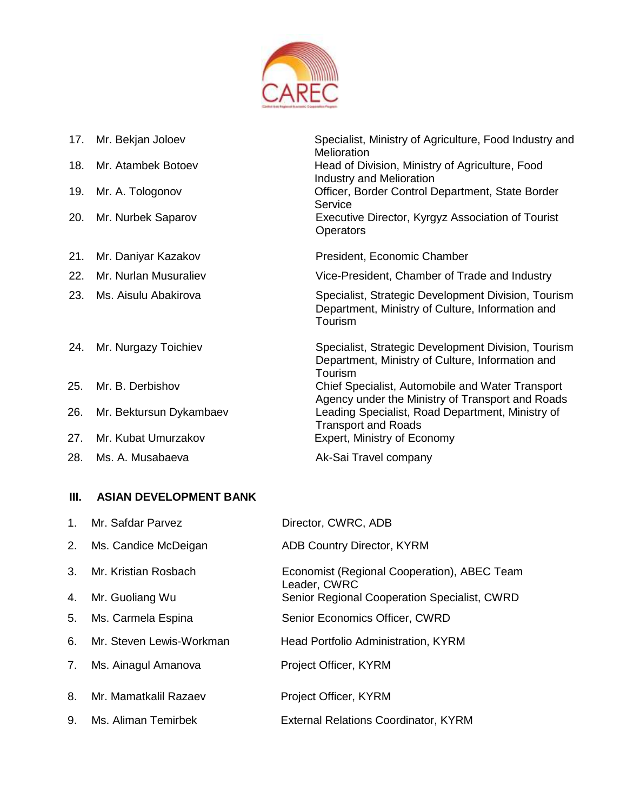

| 17. | Mr. Bekjan Joloev       | Specialist, Ministry of Agriculture, Food Industry and<br>Melioration                                              |
|-----|-------------------------|--------------------------------------------------------------------------------------------------------------------|
| 18. | Mr. Atambek Botoev      | Head of Division, Ministry of Agriculture, Food<br>Industry and Melioration                                        |
| 19. | Mr. A. Tologonov        | Officer, Border Control Department, State Border<br>Service                                                        |
| 20. | Mr. Nurbek Saparov      | Executive Director, Kyrgyz Association of Tourist<br><b>Operators</b>                                              |
| 21. | Mr. Daniyar Kazakov     | President, Economic Chamber                                                                                        |
| 22. | Mr. Nurlan Musuraliev   | Vice-President, Chamber of Trade and Industry                                                                      |
| 23. | Ms. Aisulu Abakirova    | Specialist, Strategic Development Division, Tourism<br>Department, Ministry of Culture, Information and<br>Tourism |
| 24. | Mr. Nurgazy Toichiev    | Specialist, Strategic Development Division, Tourism<br>Department, Ministry of Culture, Information and<br>Tourism |
| 25. | Mr. B. Derbishov        | Chief Specialist, Automobile and Water Transport<br>Agency under the Ministry of Transport and Roads               |
| 26. | Mr. Bektursun Dykambaev | Leading Specialist, Road Department, Ministry of<br><b>Transport and Roads</b>                                     |
| 27. | Mr. Kubat Umurzakov     | Expert, Ministry of Economy                                                                                        |
| 28. | Ms. A. Musabaeva        | Ak-Sai Travel company                                                                                              |

### **III. ASIAN DEVELOPMENT BANK**

| 1 <sub>1</sub> | Mr. Safdar Parvez        | Director, CWRC, ADB                                         |
|----------------|--------------------------|-------------------------------------------------------------|
| 2.             | Ms. Candice McDeigan     | <b>ADB Country Director, KYRM</b>                           |
| 3.             | Mr. Kristian Rosbach     | Economist (Regional Cooperation), ABEC Team<br>Leader, CWRC |
| 4.             | Mr. Guoliang Wu          | Senior Regional Cooperation Specialist, CWRD                |
| 5.             | Ms. Carmela Espina       | Senior Economics Officer, CWRD                              |
| 6.             | Mr. Steven Lewis-Workman | <b>Head Portfolio Administration, KYRM</b>                  |
| 7.             | Ms. Ainagul Amanova      | Project Officer, KYRM                                       |
| 8.             | Mr. Mamatkalil Razaev    | Project Officer, KYRM                                       |
| 9.             | Ms. Aliman Temirbek      | <b>External Relations Coordinator, KYRM</b>                 |